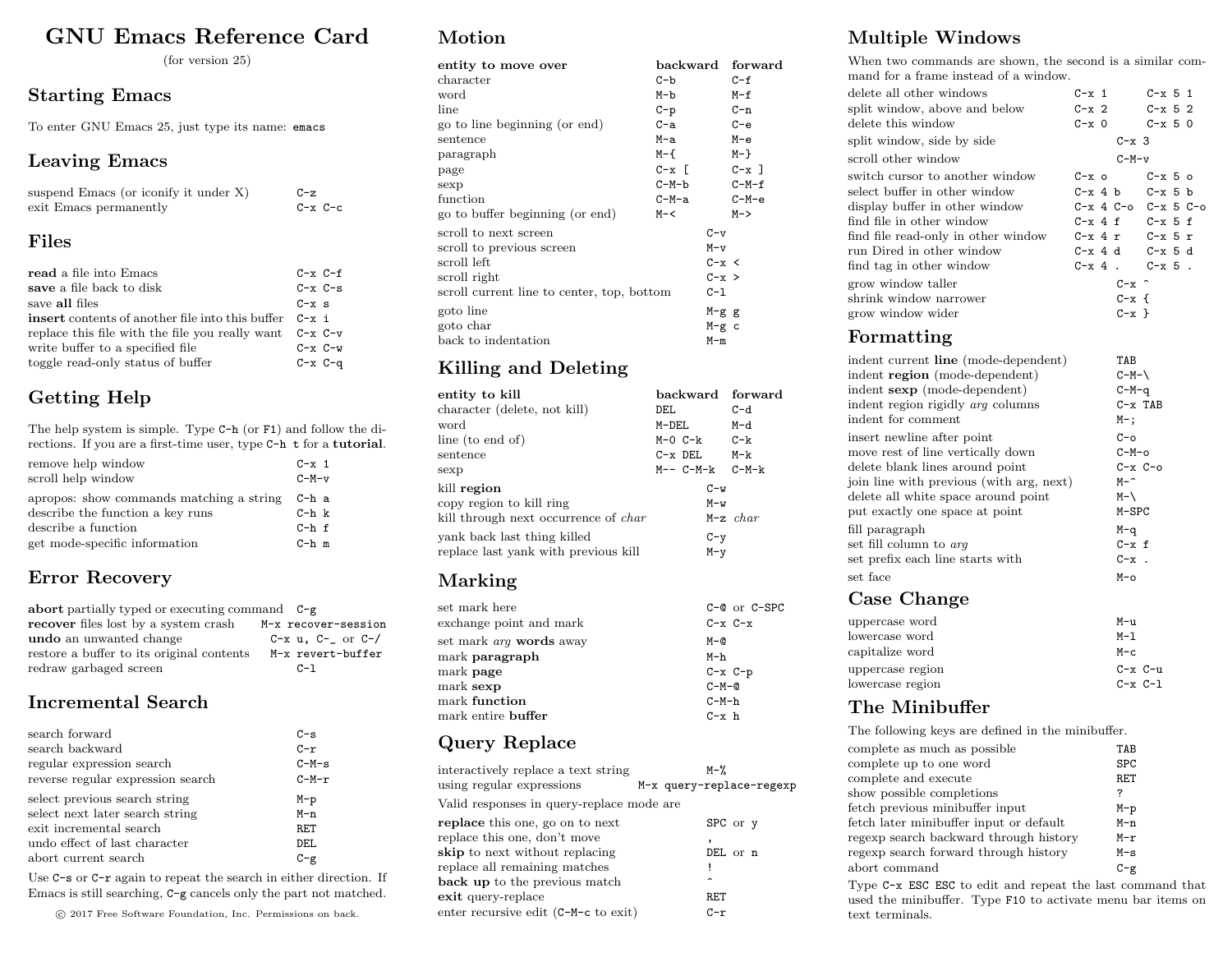# GNU Emacs Reference Card

(for version 25)

#### Starting Emacs

To enter GNU Emacs 25, just type its name: emacs

#### Leaving Emacs

| suspend Emacs (or iconify it under X) | $C-z$       |
|---------------------------------------|-------------|
| exit Emacs permanently                | $C-x$ $C-c$ |

#### Files

| read a file into Emacs                                      | $C-x C-f$     |
|-------------------------------------------------------------|---------------|
| save a file back to disk                                    | $C - x C - s$ |
| save all files                                              | $C - x$ s     |
| <b>insert</b> contents of another file into this buffer     | $C - x$ i     |
| replace this file with the file you really want $C-x$ $C-v$ |               |
| write buffer to a specified file                            | $C-x$ $C-w$   |
| toggle read-only status of buffer                           | $C-x$ $C-q$   |

# Getting Help

The help system is simple. Type C-h (or F1) and follow the directions. If you are a first-time user, type C-h t for a tutorial.

| remove help window                       | $C - x$ 1            |
|------------------------------------------|----------------------|
| scroll help window                       | $C-M-v$              |
| apropos: show commands matching a string | C-h a                |
| describe the function a key runs         | $C-h$ $\,$ $\,$ $\,$ |
| describe a function                      | $C-h-f$              |
| get mode-specific information            | $C-h$ m              |

## Error Recovery

| abort partially typed or executing command $C-g$ |                                |
|--------------------------------------------------|--------------------------------|
| recover files lost by a system crash             | M-x recover-session            |
| undo an unwanted change                          | $C - x u$ , $C - y$ or $C - y$ |
| restore a buffer to its original contents        | M-x revert-buffer              |
| redraw garbaged screen                           | $C-1$                          |

#### Incremental Search

| search forward                    | $C-S$   |
|-----------------------------------|---------|
| search backward                   | $C-r$   |
| regular expression search         | $C-M-s$ |
| reverse regular expression search | $C-M-r$ |
| select previous search string     | $M-p$   |
| select next later search string   | $M - n$ |
| exit incremental search           | RET     |
| undo effect of last character     | DEL.    |
| abort current search              | $C-g$   |

Use C-s or C-r again to repeat the search in either direction. If Emacs is still searching, C-g cancels only the part not matched.

c 2017 Free Software Foundation, Inc. Permissions on back.

# Motion

| entity to move over                        | backward         |           | forward  |
|--------------------------------------------|------------------|-----------|----------|
| character                                  | C-b              |           | $C - f$  |
| word                                       | M-b              |           | $M-f$    |
| line                                       | $C-p$            |           | $C-n$    |
| go to line beginning (or end)              | $C-a$            |           | $C - e$  |
| sentence                                   | M-a              |           | M-e      |
| paragraph                                  | M-f              |           | $M - \}$ |
| page                                       | $C - x$ $\Gamma$ |           | $C-x$ ]  |
| sexp                                       | C-M-b            |           | $C-M-f$  |
| function                                   | C-M-a            |           | $C-M-e$  |
| go to buffer beginning (or end)            | $M - <$          |           | $M->$    |
| scroll to next screen                      |                  | $C-v$     |          |
| scroll to previous screen                  |                  | $M-v$     |          |
| scroll left                                |                  | $C - x <$ |          |
| scroll right                               |                  | $C - x >$ |          |
| scroll current line to center, top, bottom |                  | $C-1$     |          |
| goto line                                  |                  | $M-g$ g   |          |
| goto char                                  |                  | $M-g$ c   |          |
| back to indentation                        |                  | $M-m$     |          |

## Killing and Deleting

| entity to kill                              | backward forward    |            |
|---------------------------------------------|---------------------|------------|
| character (delete, not kill)                | DEL                 | $C-d$      |
| word                                        | M-DEL               | M-d        |
| line (to end of)                            | M-0 C-k             | $C-k$      |
| sentence                                    | $C-x$ DEL           | M-k        |
| sexp                                        | $M-- C-M-k$ $C-M-k$ |            |
| kill region                                 | $C-w$               |            |
| copy region to kill ring                    | $M-w$               |            |
| kill through next occurrence of <i>char</i> |                     | $M-z$ char |
| yank back last thing killed                 | $C-y$               |            |
| replace last yank with previous kill        | $M - v$             |            |
|                                             |                     |            |

# Marking

| set mark here                  | $C-C$ or $C-SPC$ |
|--------------------------------|------------------|
| exchange point and mark        | $C-x$ $C-x$      |
| set mark <i>arq</i> words away | $M-Q$            |
| mark <b>paragraph</b>          | M-h              |
| mark <b>page</b>               | $C-x$ $C-p$      |
| mark sexp                      | $C-M-Q$          |
| mark function                  | $C-M-h$          |
| mark entire buffer             | $C - x$ h        |

# Query Replace

| interactively replace a text string       | M-%                      |
|-------------------------------------------|--------------------------|
| using regular expressions                 | M-x query-replace-regexp |
| Valid responses in query-replace mode are |                          |
| replace this one, go on to next           | SPC or y                 |
| replace this one, don't move              |                          |
| <b>skip</b> to next without replacing     | DEL or n                 |
| replace all remaining matches             |                          |
| back up to the previous match             |                          |
| exit query-replace                        | RET                      |
| enter recursive edit (C-M-c to exit)      | C-r                      |

# Multiple Windows

When two commands are shown, the second is a similar command for a frame instead of a window.

| delete all other windows            | $C - x$ 1               | $C - x$ 5 1                         |
|-------------------------------------|-------------------------|-------------------------------------|
| split window, above and below       | $C - x$ 2               | $C - x$ 5 2                         |
| delete this window                  | $C - x = 0$             | $C - x$ 5 0                         |
| split window, side by side          | $C - x$ 3               |                                     |
| scroll other window                 | $C-M-v$                 |                                     |
| switch cursor to another window     | $C - x \circ$           | $C - x$ 5 $\circ$                   |
| select buffer in other window       | $C-x$ 4 b $C-x$ 5 b     |                                     |
| display buffer in other window      |                         | $C - x$ 4 $C - o$ $C - x$ 5 $C - o$ |
| find file in other window           | $C-x$ 4 f $C-x$ 5 f     |                                     |
| find file read-only in other window | $C-x$ 4 $r$ $C-x$ 5 $r$ |                                     |
| run Dired in other window           | $C-x$ 4 d $C-x$ 5 d     |                                     |
| find tag in other window            | $C - x 4$ $C - x 5$     |                                     |
| grow window taller                  | $C - x$ $\sim$          |                                     |
| shrink window narrower              | $C - x +$               |                                     |
| grow window wider                   | $C - x$ }               |                                     |

#### Formatting

| indent current line (mode-dependent)     | TAB           |
|------------------------------------------|---------------|
| indent region (mode-dependent)           | $C-M-\lambda$ |
| indent sexp (mode-dependent)             | $C-M-q$       |
| indent region rigidly <i>arg</i> columns | $C - x$ TAB   |
| indent for comment                       | М-;           |
| insert newline after point               | $C - O$       |
| move rest of line vertically down        | $C-M-o$       |
| delete blank lines around point          | $C - x C - o$ |
| join line with previous (with arg, next) | $M - \hat{ }$ |
| delete all white space around point      | $M-\lambda$   |
| put exactly one space at point           | $M-SPC$       |
| fill paragraph                           | M-q           |
| set fill column to arg                   | $C - x f$     |
| set prefix each line starts with         | $C - x$ .     |
| set face                                 | $M$ -0        |
|                                          |               |

#### Case Change

| uppercase word   | $M-11$          |
|------------------|-----------------|
| lowercase word   | M-1             |
| capitalize word  | $M-c$           |
| uppercase region | $C - x$ $C - u$ |
| lowercase region | $C-x$ $C-1$     |

#### The Minibuffer

The following keys are defined in the minibuffer.

| complete as much as possible            | TAR        |
|-----------------------------------------|------------|
| complete up to one word                 | <b>SPC</b> |
| complete and execute                    | RET        |
| show possible completions               | ?          |
| fetch previous minibuffer input         | $M-p$      |
| fetch later minibuffer input or default | M-n        |
| regexp search backward through history  | $M-r$      |
| regexp search forward through history   | $M-S$      |
| abort command                           | $C - g$    |
|                                         |            |

Type C-x ESC ESC to edit and repeat the last command that used the minibuffer. Type F10 to activate menu bar items on text terminals.